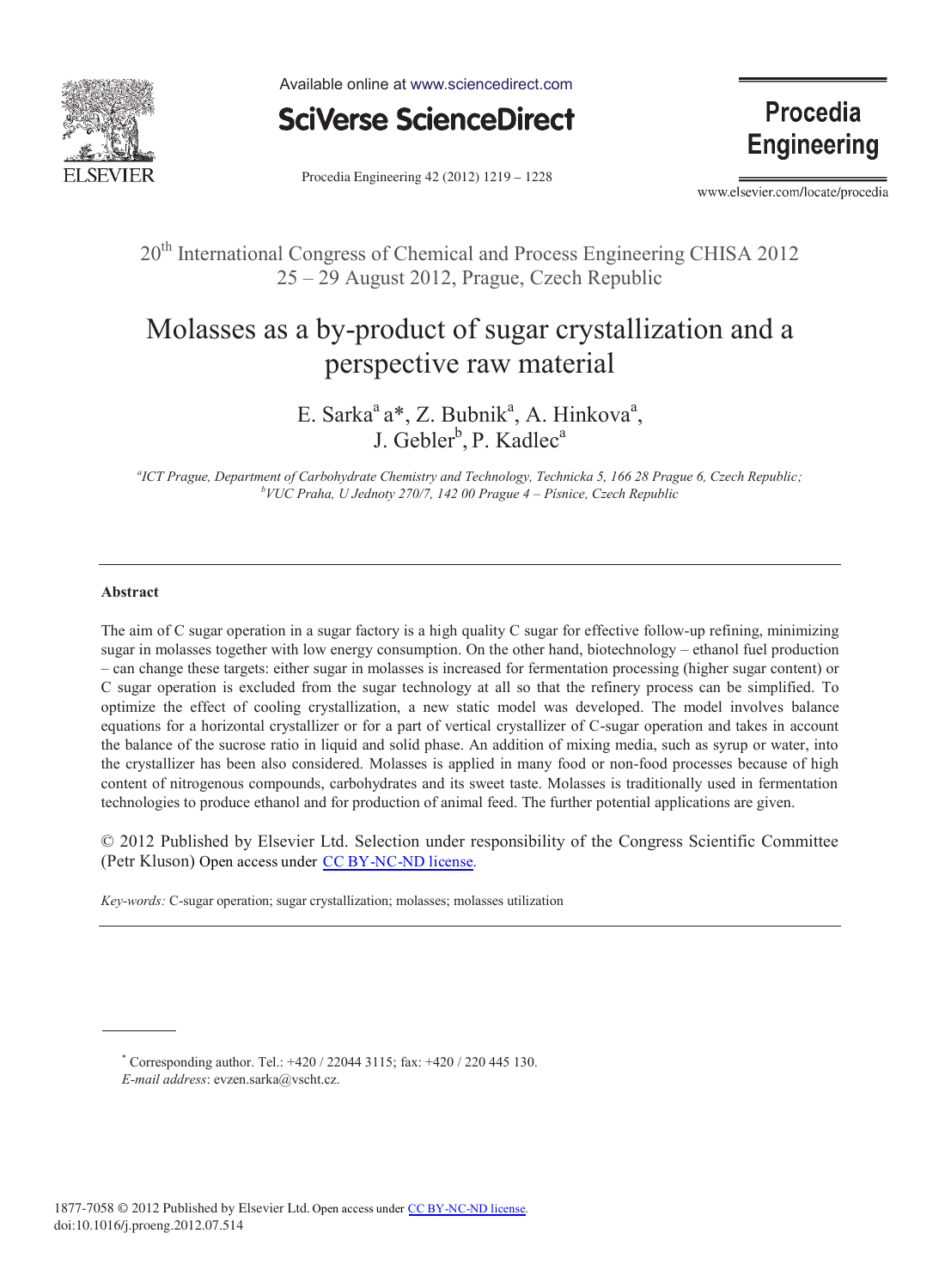

Available online at www.sciencedirect.com



**Procedia Engineering** 

Procedia Engineering 42 (2012) 1219 - 1228

www.elsevier.com/locate/procedia

# 20<sup>th</sup> International Congress of Chemical and Process Engineering CHISA 2012 25 – 29 August 2012, Prague, Czech Republic

# Molasses as a by-product of sugar crystallization and a perspective raw material

E. Sarka<sup>a</sup> a\*, Z. Bubnik<sup>a</sup>, A. Hinkova<sup>a</sup>, J. Gebler<sup>b</sup>, P. Kadlec<sup>a</sup>

<sup>a</sup> ICT Prague, Department of Carbohydrate Chemistry and Technology, Technicka 5, 166 28 Prague 6, Czech Republic;<br>by IC Praha, IL Iednoty 270/7, 142,00 Prague 4, Pisnice, Czech Republic *VUC Praha, U Jednoty 270/7, 142 00 Prague 4 – Písnice, Czech Republic* 

# **Abstract**

The aim of C sugar operation in a sugar factory is a high quality C sugar for effective follow-up refining, minimizing sugar in molasses together with low energy consumption. On the other hand, biotechnology – ethanol fuel production – can change these targets: either sugar in molasses is increased for fermentation processing (higher sugar content) or C sugar operation is excluded from the sugar technology at all so that the refinery process can be simplified. To optimize the effect of cooling crystallization, a new static model was developed. The model involves balance equations for a horizontal crystallizer or for a part of vertical crystallizer of C-sugar operation and takes in account the balance of the sucrose ratio in liquid and solid phase. An addition of mixing media, such as syrup or water, into the crystallizer has been also considered. Molasses is applied in many food or non-food processes because of high content of nitrogenous compounds, carbohydrates and its sweet taste. Molasses is traditionally used in fermentation technologies to produce ethanol and for production of animal feed. The further potential applications are given.

© 2012 Published by Elsevier Ltd. Selection under responsibility of the Congress Scientific Committee (Petr Kluson) Open access under [CC BY-NC-ND license.](http://creativecommons.org/licenses/by-nc-nd/3.0/)

*Key-words:* C-sugar operation; sugar crystallization; molasses; molasses utilization

\* Corresponding author. Tel.: +420 / 22044 3115; fax: +420 / 220 445 130. *E-mail address*: evzen.sarka@vscht.cz.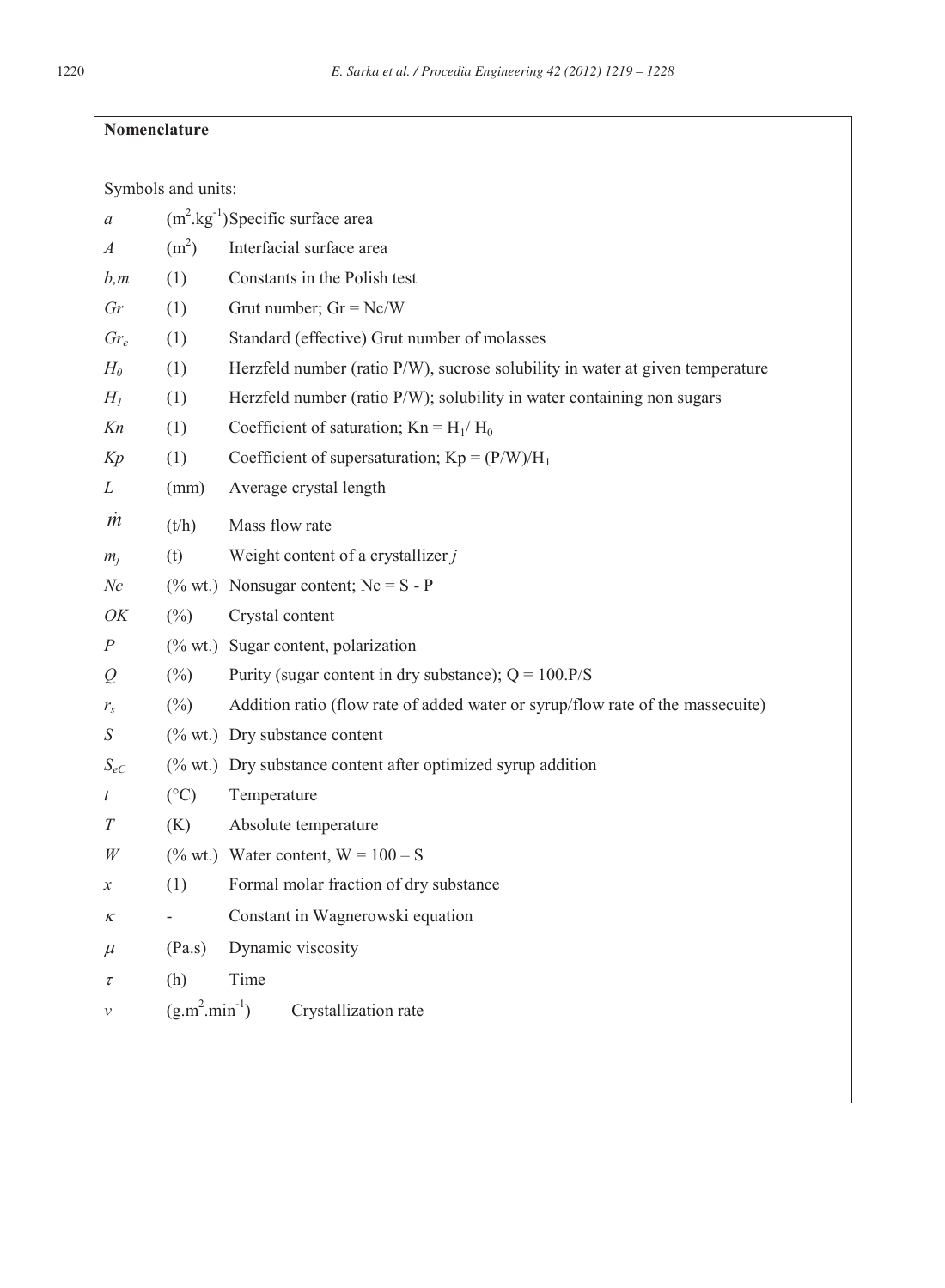| Nomenclature              |                    |                                                                                |  |
|---------------------------|--------------------|--------------------------------------------------------------------------------|--|
|                           |                    |                                                                                |  |
| Symbols and units:        |                    |                                                                                |  |
| $\mathfrak a$             |                    | $(m^2 \text{ kg}^{-1})$ Specific surface area                                  |  |
| $\overline{A}$            | (m <sup>2</sup> )  | Interfacial surface area                                                       |  |
| b,m                       | (1)                | Constants in the Polish test                                                   |  |
| Gr                        | (1)                | Grut number; $Gr = Nc/W$                                                       |  |
| $Gr_{e}$                  | (1)                | Standard (effective) Grut number of molasses                                   |  |
| $H_0$                     | (1)                | Herzfeld number (ratio P/W), sucrose solubility in water at given temperature  |  |
| $H_I$                     | (1)                | Herzfeld number (ratio P/W); solubility in water containing non sugars         |  |
| Kn                        | (1)                | Coefficient of saturation; $Kn = H_1/H_0$                                      |  |
| Kp                        | (1)                | Coefficient of supersaturation; $Kp = (P/W)/H_1$                               |  |
| L                         | (mm)               | Average crystal length                                                         |  |
| $\boldsymbol{m}$          | (t/h)              | Mass flow rate                                                                 |  |
| $m_i$                     | (t)                | Weight content of a crystallizer $j$                                           |  |
| Nc                        |                    | $(\%$ wt.) Nonsugar content; Nc = S - P                                        |  |
| OK                        | $(\%)$             | Crystal content                                                                |  |
| Р                         |                    | (% wt.) Sugar content, polarization                                            |  |
| $\varrho$                 | $(\%)$             | Purity (sugar content in dry substance); $Q = 100.P/S$                         |  |
| $r_{s}$                   | $(\%)$             | Addition ratio (flow rate of added water or syrup/flow rate of the massecuite) |  |
| ${\cal S}$                |                    | $(\%$ wt.) Dry substance content                                               |  |
| $S_{eC}$                  |                    | (% wt.) Dry substance content after optimized syrup addition                   |  |
| t                         | $(^{\circ}C)$      | Temperature                                                                    |  |
| T                         | (K)                | Absolute temperature                                                           |  |
| W                         |                    | $(\%$ wt.) Water content, $W = 100 - S$                                        |  |
| х                         | (1)                | Formal molar fraction of dry substance                                         |  |
| $\boldsymbol{\mathit{K}}$ |                    | Constant in Wagnerowski equation                                               |  |
| $\mu$                     | (Pa.s)             | Dynamic viscosity                                                              |  |
| $\tau$                    | (h)                | Time                                                                           |  |
| $\mathcal V$              | $(g.m^2.min^{-1})$ | Crystallization rate                                                           |  |
|                           |                    |                                                                                |  |
|                           |                    |                                                                                |  |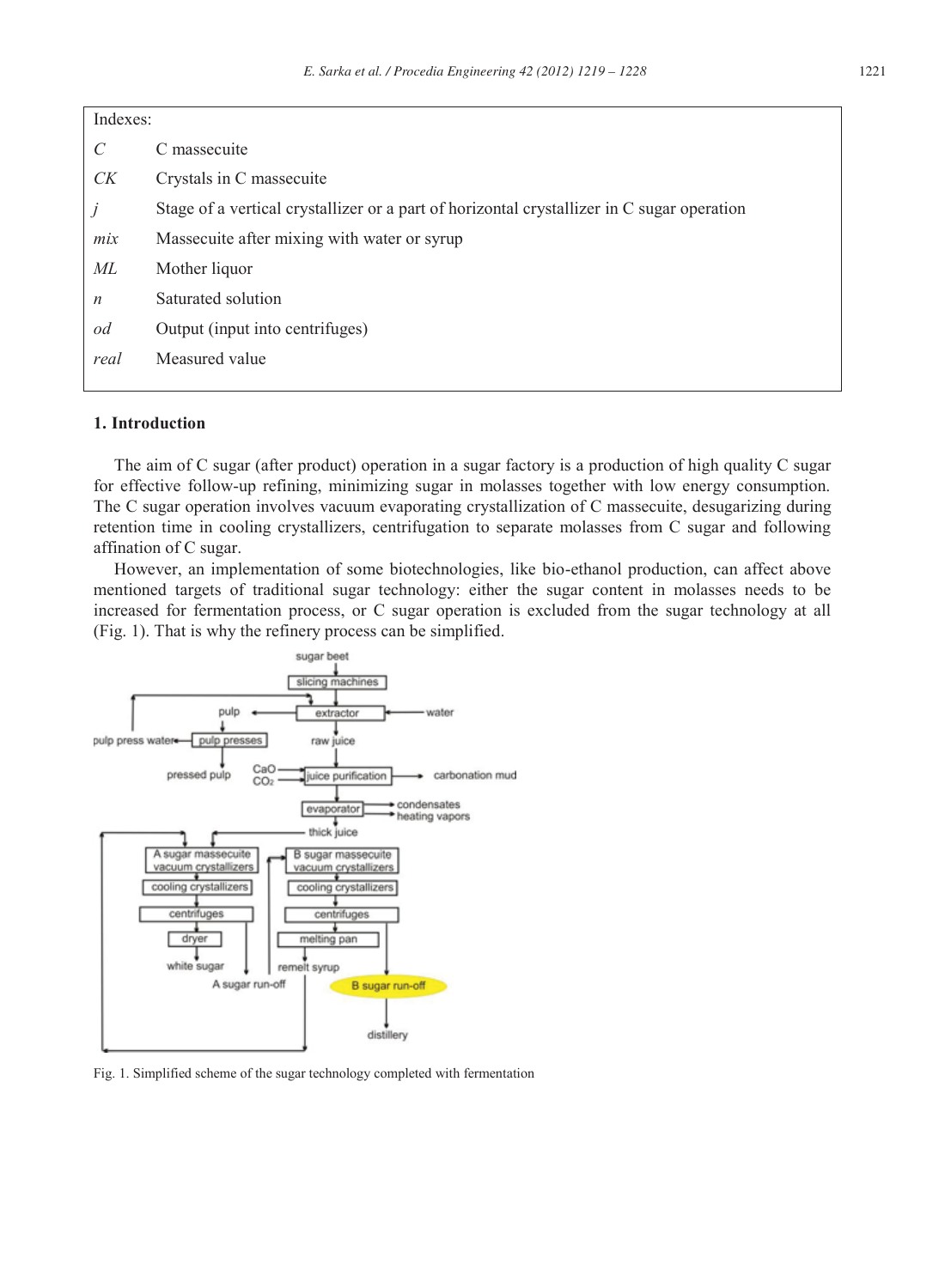| Indexes:         |                                                                                            |  |
|------------------|--------------------------------------------------------------------------------------------|--|
| C                | C massecuite                                                                               |  |
| CK               | Crystals in C massecuite                                                                   |  |
|                  | Stage of a vertical crystallizer or a part of horizontal crystallizer in C sugar operation |  |
| mix              | Massecuite after mixing with water or syrup                                                |  |
| МL               | Mother liquor                                                                              |  |
| $\boldsymbol{n}$ | Saturated solution                                                                         |  |
| od               | Output (input into centrifuges)                                                            |  |
| real             | Measured value                                                                             |  |
|                  |                                                                                            |  |

# **1. Introduction**

The aim of C sugar (after product) operation in a sugar factory is a production of high quality C sugar for effective follow-up refining, minimizing sugar in molasses together with low energy consumption. The C sugar operation involves vacuum evaporating crystallization of C massecuite, desugarizing during retention time in cooling crystallizers, centrifugation to separate molasses from C sugar and following affination of C sugar.

However, an implementation of some biotechnologies, like bio-ethanol production, can affect above mentioned targets of traditional sugar technology: either the sugar content in molasses needs to be increased for fermentation process, or C sugar operation is excluded from the sugar technology at all (Fig. 1). That is why the refinery process can be simplified.



Fig. 1. Simplified scheme of the sugar technology completed with fermentation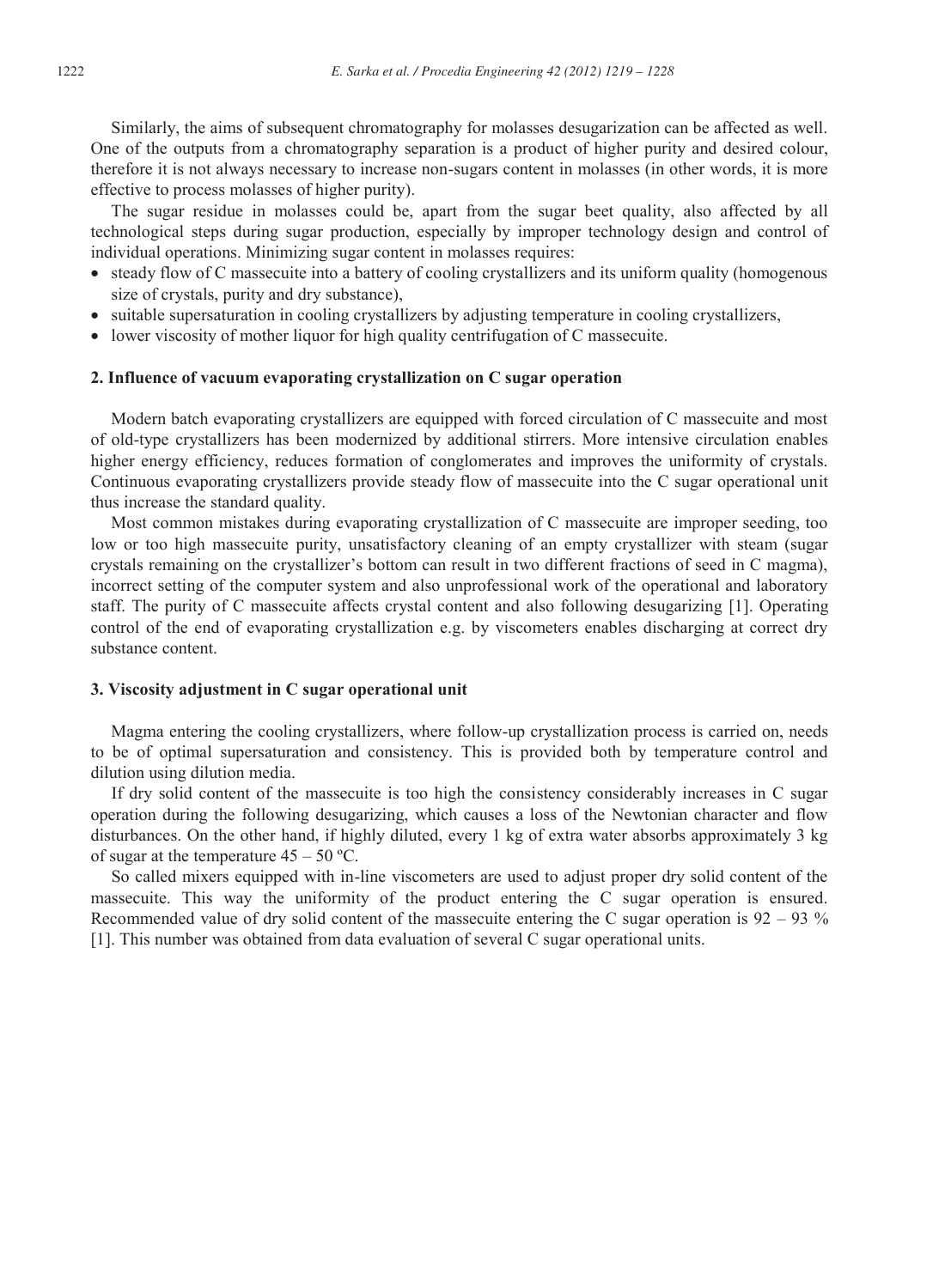Similarly, the aims of subsequent chromatography for molasses desugarization can be affected as well. One of the outputs from a chromatography separation is a product of higher purity and desired colour, therefore it is not always necessary to increase non-sugars content in molasses (in other words, it is more effective to process molasses of higher purity).

The sugar residue in molasses could be, apart from the sugar beet quality, also affected by all technological steps during sugar production, especially by improper technology design and control of individual operations. Minimizing sugar content in molasses requires:

- steady flow of C massecuite into a battery of cooling crystallizers and its uniform quality (homogenous size of crystals, purity and dry substance),
- suitable supersaturation in cooling crystallizers by adjusting temperature in cooling crystallizers,
- lower viscosity of mother liquor for high quality centrifugation of C massecuite.

## **2. Influence of vacuum evaporating crystallization on C sugar operation**

Modern batch evaporating crystallizers are equipped with forced circulation of C massecuite and most of old-type crystallizers has been modernized by additional stirrers. More intensive circulation enables higher energy efficiency, reduces formation of conglomerates and improves the uniformity of crystals. Continuous evaporating crystallizers provide steady flow of massecuite into the C sugar operational unit thus increase the standard quality.

Most common mistakes during evaporating crystallization of C massecuite are improper seeding, too low or too high massecuite purity, unsatisfactory cleaning of an empty crystallizer with steam (sugar crystals remaining on the crystallizer's bottom can result in two different fractions of seed in C magma), incorrect setting of the computer system and also unprofessional work of the operational and laboratory staff. The purity of C massecuite affects crystal content and also following desugarizing [1]. Operating control of the end of evaporating crystallization e.g. by viscometers enables discharging at correct dry substance content.

#### **3. Viscosity adjustment in C sugar operational unit**

Magma entering the cooling crystallizers, where follow-up crystallization process is carried on, needs to be of optimal supersaturation and consistency. This is provided both by temperature control and dilution using dilution media.

If dry solid content of the massecuite is too high the consistency considerably increases in C sugar operation during the following desugarizing, which causes a loss of the Newtonian character and flow disturbances. On the other hand, if highly diluted, every 1 kg of extra water absorbs approximately 3 kg of sugar at the temperature  $45 - 50$  °C.

So called mixers equipped with in-line viscometers are used to adjust proper dry solid content of the massecuite. This way the uniformity of the product entering the C sugar operation is ensured. Recommended value of dry solid content of the massecuite entering the C sugar operation is  $92 - 93 \%$ [1]. This number was obtained from data evaluation of several C sugar operational units.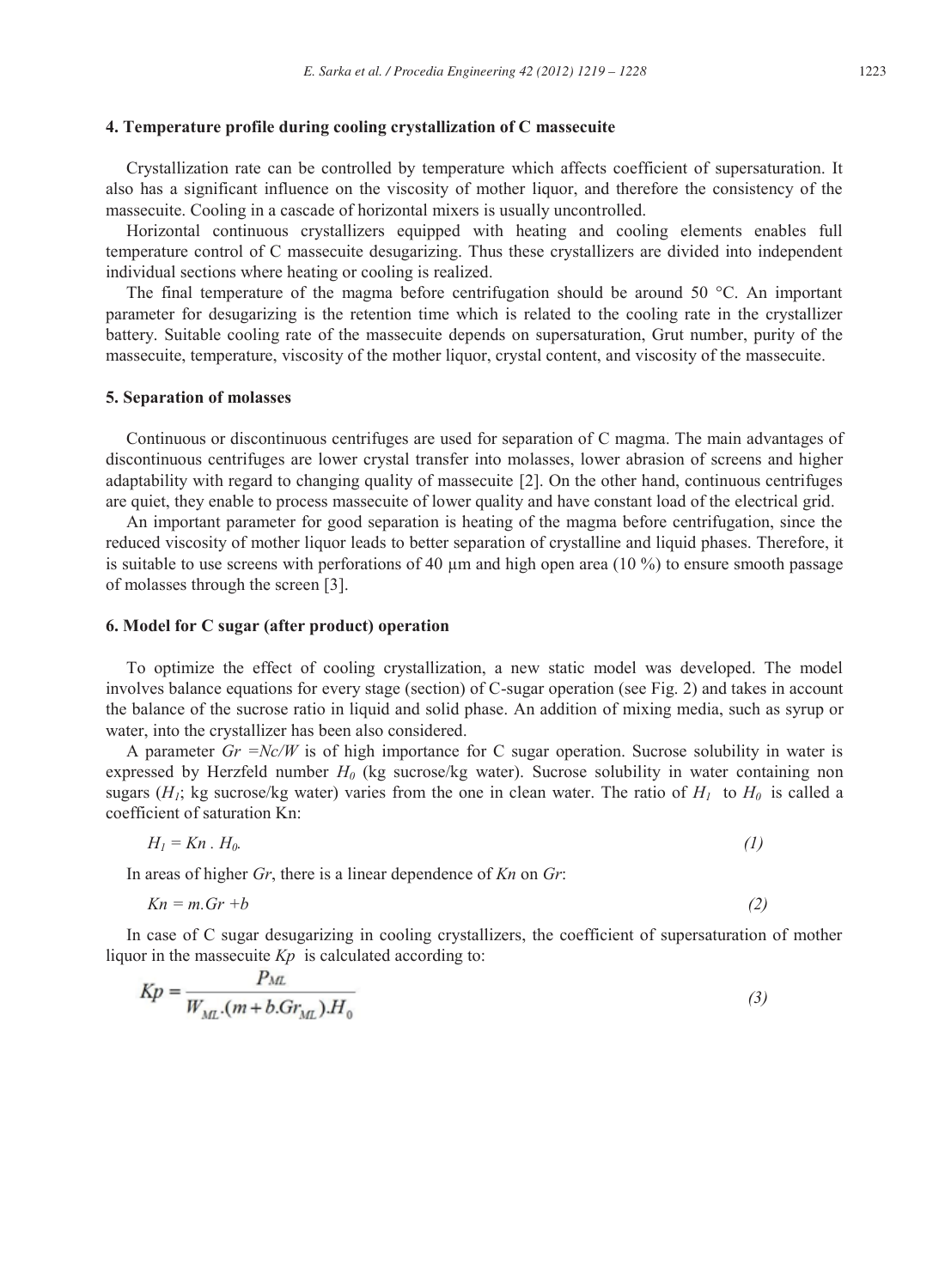#### **4. Temperature profile during cooling crystallization of C massecuite**

Crystallization rate can be controlled by temperature which affects coefficient of supersaturation. It also has a significant influence on the viscosity of mother liquor, and therefore the consistency of the massecuite. Cooling in a cascade of horizontal mixers is usually uncontrolled.

Horizontal continuous crystallizers equipped with heating and cooling elements enables full temperature control of C massecuite desugarizing. Thus these crystallizers are divided into independent individual sections where heating or cooling is realized.

The final temperature of the magma before centrifugation should be around 50 °C. An important parameter for desugarizing is the retention time which is related to the cooling rate in the crystallizer battery. Suitable cooling rate of the massecuite depends on supersaturation, Grut number, purity of the massecuite, temperature, viscosity of the mother liquor, crystal content, and viscosity of the massecuite.

#### **5. Separation of molasses**

Continuous or discontinuous centrifuges are used for separation of C magma. The main advantages of discontinuous centrifuges are lower crystal transfer into molasses, lower abrasion of screens and higher adaptability with regard to changing quality of massecuite [2]. On the other hand, continuous centrifuges are quiet, they enable to process massecuite of lower quality and have constant load of the electrical grid.

An important parameter for good separation is heating of the magma before centrifugation, since the reduced viscosity of mother liquor leads to better separation of crystalline and liquid phases. Therefore, it is suitable to use screens with perforations of 40  $\mu$ m and high open area (10 %) to ensure smooth passage of molasses through the screen [3].

#### **6. Model for C sugar (after product) operation**

To optimize the effect of cooling crystallization, a new static model was developed. The model involves balance equations for every stage (section) of C-sugar operation (see Fig. 2) and takes in account the balance of the sucrose ratio in liquid and solid phase. An addition of mixing media, such as syrup or water, into the crystallizer has been also considered.

A parameter  $Gr = Nc/W$  is of high importance for C sugar operation. Sucrose solubility in water is expressed by Herzfeld number *H<sub>0</sub>* (kg sucrose/kg water). Sucrose solubility in water containing non sugars ( $H_1$ ; kg sucrose/kg water) varies from the one in clean water. The ratio of  $H_1$  to  $H_0$  is called a coefficient of saturation Kn:

$$
H_1 = Kn \cdot H_0. \tag{1}
$$

In areas of higher *Gr*, there is a linear dependence of *Kn* on *Gr*:

$$
Kn = m \cdot Gr + b \tag{2}
$$

In case of C sugar desugarizing in cooling crystallizers, the coefficient of supersaturation of mother liquor in the massecuite *Kp* is calculated according to:

$$
Kp = \frac{P_{ML}}{W_{ML} \cdot (m + b \cdot Gr_{ML}) \cdot H_0}
$$
\n<sup>(3)</sup>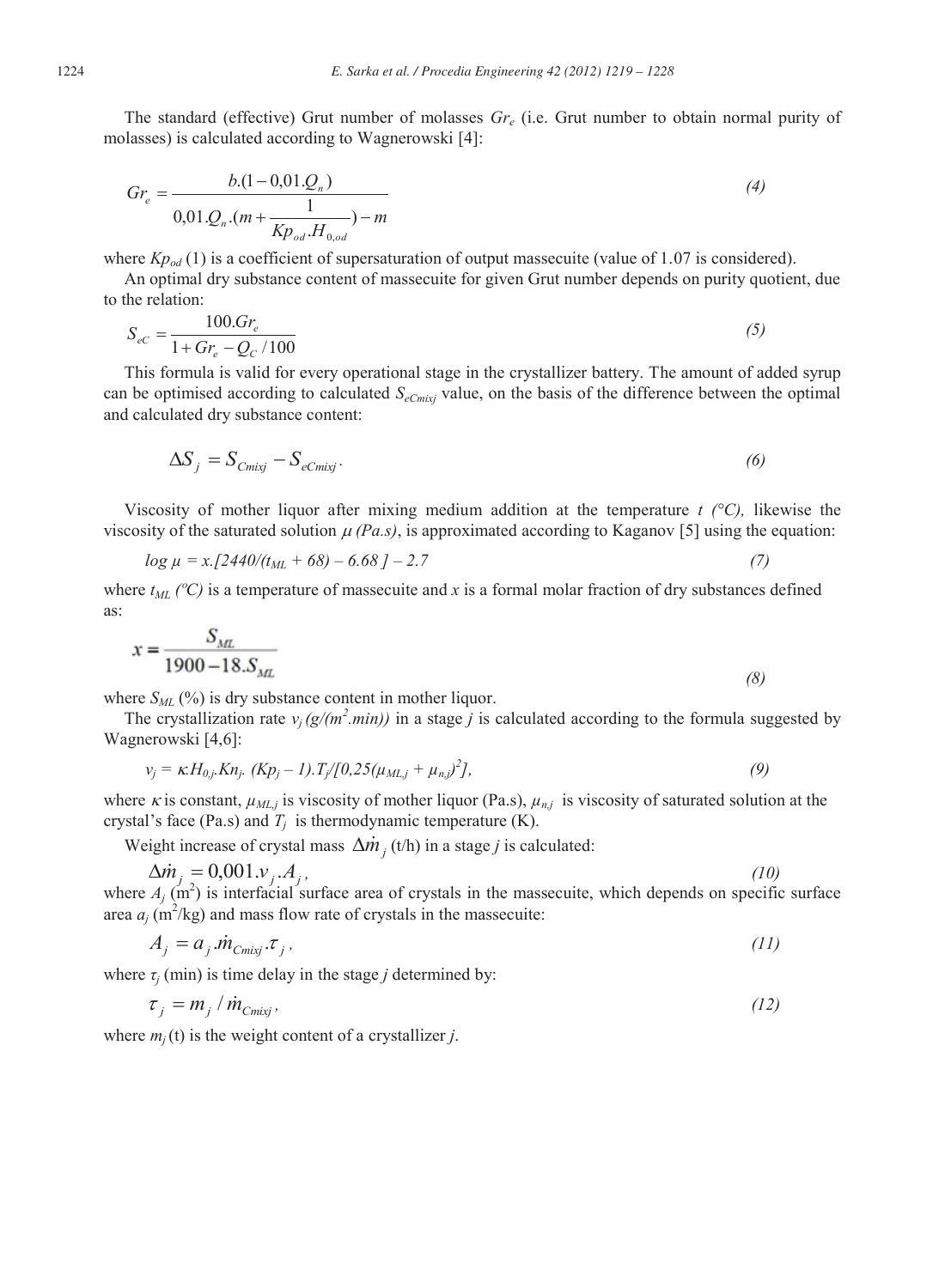The standard (effective) Grut number of molasses *Gre* (i.e. Grut number to obtain normal purity of molasses) is calculated according to Wagnerowski [4]:

$$
Gr_e = \frac{b.(1 - 0.01.Q_n)}{0.01.Q_n.(m + \frac{1}{Kp_{od}.H_{0,od}}) - m}
$$
\n(4)

where  $K_{p_{od}}(1)$  is a coefficient of supersaturation of output massecuite (value of 1.07 is considered).

An optimal dry substance content of massecuite for given Grut number depends on purity quotient, due to the relation:  $\sim$ 

$$
S_{eC} = \frac{100.Gr_e}{1 + Gr_e - Q_C / 100} \tag{5}
$$

This formula is valid for every operational stage in the crystallizer battery. The amount of added syrup can be optimised according to calculated  $S_{eCmixj}$  value, on the basis of the difference between the optimal and calculated dry substance content:

$$
\Delta S_j = S_{\text{Cmi}j} - S_{\text{eCmi}j}.
$$
\n<sup>(6)</sup>

Viscosity of mother liquor after mixing medium addition at the temperature *t (°C),* likewise the viscosity of the saturated solution  $\mu$  (Pa.s), is approximated according to Kaganov [5] using the equation:

$$
log \mu = x \cdot [2440/(t_{ML} + 68) - 6.68] - 2.7 \tag{7}
$$

where  $t_{ML}$  *(°C)* is a temperature of massecuite and *x* is a formal molar fraction of dry substances defined as:

$$
x = \frac{S_{ML}}{1900 - 18.S_{ML}}
$$
 (8)

where  $S_{ML}$  (%) is dry substance content in mother liquor.

The crystallization rate  $v_j(g/(m^2,min))$  in a stage *j* is calculated according to the formula suggested by Wagnerowski [4,6]:

$$
v_j = \kappa H_{0,j} K n_j \cdot (K p_j - 1) . T_j / [0, 25(\mu_{ML,j} + \mu_{n,j})^2], \tag{9}
$$

where  $\kappa$  is constant,  $\mu_{ML,j}$  is viscosity of mother liquor (Pa.s),  $\mu_{n,j}$  is viscosity of saturated solution at the crystal's face (Pa.s) and  $T_j$  is thermodynamic temperature (K).

Weight increase of crystal mass  $\Delta m_i$  (t/h) in a stage *j* is calculated:

$$
\Delta \dot{m}_j = 0.001 \mathcal{N}_j \mathcal{A}_j,\tag{10}
$$

where  $A_j$  ( $m^2$ ) is interfacial surface area of crystals in the massecuite, which depends on specific surface area  $a_j$  (m<sup>2</sup>/kg) and mass flow rate of crystals in the massecuite:

$$
A_j = a_j . \dot{m}_{\text{Cmixj}} . \tag{11}
$$

where  $\tau$ <sup>*j*</sup> (min) is time delay in the stage *j* determined by:

$$
\tau_j = m_j / \dot{m}_{Cmixj},\tag{12}
$$

where  $m_i(t)$  is the weight content of a crystallizer *j*.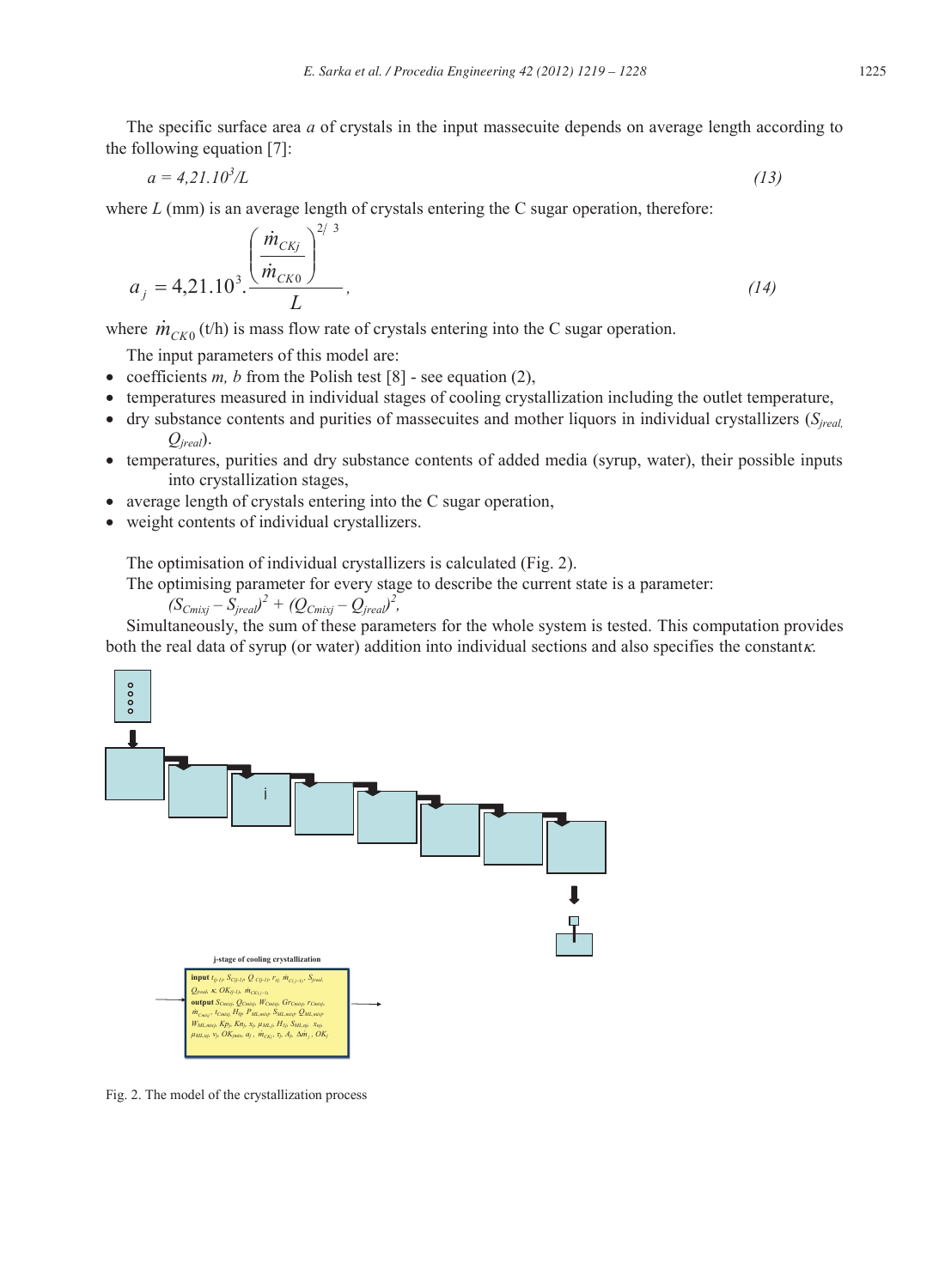The specific surface area *a* of crystals in the input massecuite depends on average length according to the following equation [7]:

$$
a = 4.21.103/L
$$
 (13)

where *L* (mm) is an average length of crystals entering the C sugar operation, therefore:

$$
a_{j} = 4,21.10^{3} \cdot \frac{\left(\frac{\dot{m}_{CKj}}{\dot{m}_{CK0}}\right)^{2/3}}{L},
$$
\n(14)

where  $\dot{m}_{CK0}$  (t/h) is mass flow rate of crystals entering into the C sugar operation.

The input parameters of this model are:

- coefficients  $m$ ,  $b$  from the Polish test [8] see equation (2),
- temperatures measured in individual stages of cooling crystallization including the outlet temperature,
- x dry substance contents and purities of massecuites and mother liquors in individual crystallizers (*Sjreal, Qjreal*).
- temperatures, purities and dry substance contents of added media (syrup, water), their possible inputs into crystallization stages,
- $\bullet$  average length of crystals entering into the C sugar operation,
- weight contents of individual crystallizers.

The optimisation of individual crystallizers is calculated (Fig. 2).

The optimising parameter for every stage to describe the current state is a parameter:<br>  $\frac{2}{(8-8)^2 + (Q-2)^2}$ 

$$
(S_{Cmixj} - S_{\text{jreal}})^2 + (Q_{Cmixj} - Q_{\text{jreal}})^2,
$$

Simultaneously, the sum of these parameters for the whole system is tested. This computation provides both the real data of syrup (or water) addition into individual sections and also specifies the constants.



Fig. 2. The model of the crystallization process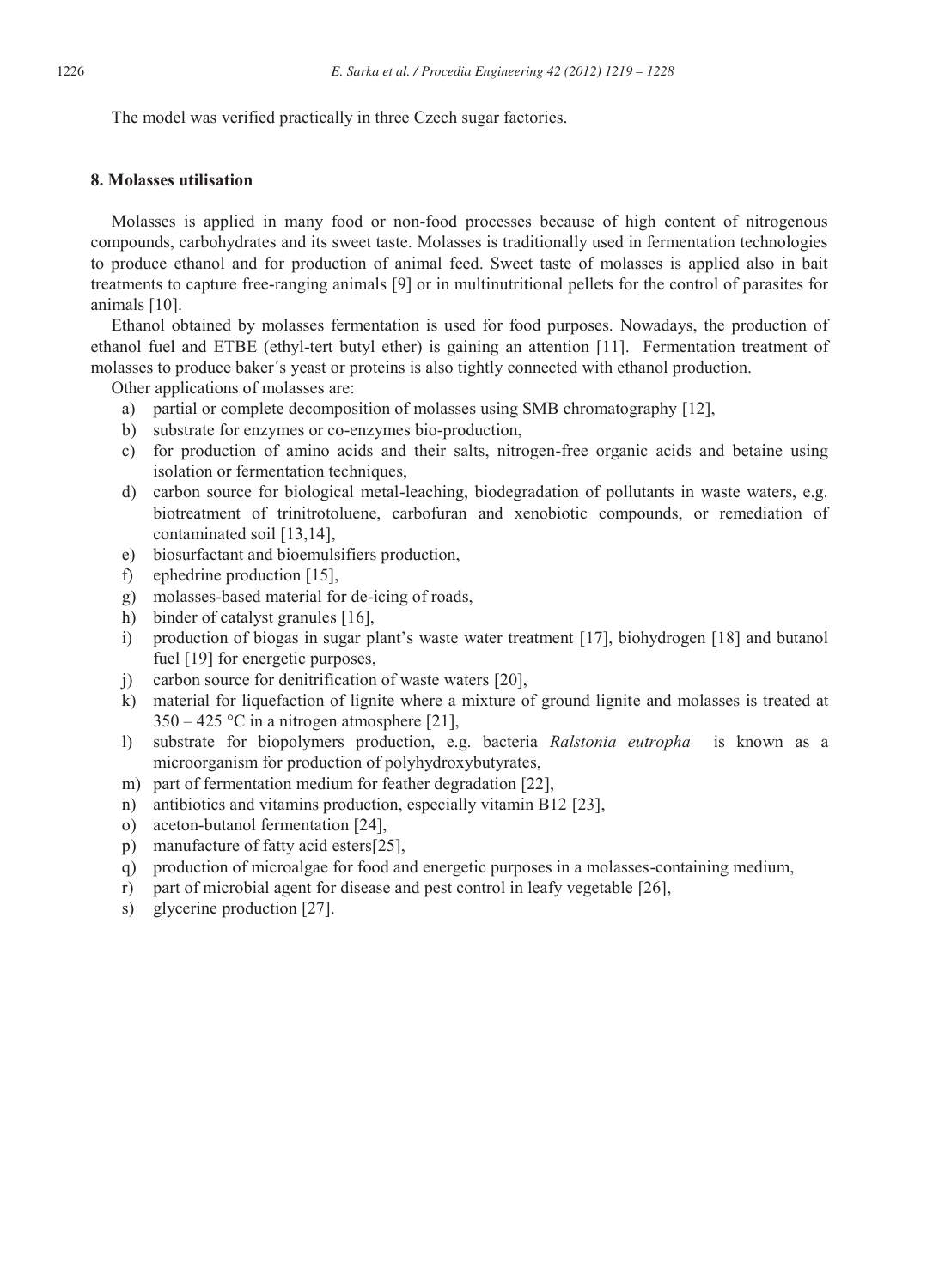The model was verified practically in three Czech sugar factories.

# **8. Molasses utilisation**

Molasses is applied in many food or non-food processes because of high content of nitrogenous compounds, carbohydrates and its sweet taste. Molasses is traditionally used in fermentation technologies to produce ethanol and for production of animal feed. Sweet taste of molasses is applied also in bait treatments to capture free-ranging animals [9] or in multinutritional pellets for the control of parasites for animals [10].

Ethanol obtained by molasses fermentation is used for food purposes. Nowadays, the production of ethanol fuel and ETBE (ethyl-tert butyl ether) is gaining an attention [11]. Fermentation treatment of molasses to produce baker´s yeast or proteins is also tightly connected with ethanol production.

Other applications of molasses are:

- a) partial or complete decomposition of molasses using SMB chromatography [12],
- b) substrate for enzymes or co-enzymes bio-production,
- c) for production of amino acids and their salts, nitrogen-free organic acids and betaine using isolation or fermentation techniques,
- d) carbon source for biological metal-leaching, biodegradation of pollutants in waste waters, e.g. biotreatment of trinitrotoluene, carbofuran and xenobiotic compounds, or remediation of contaminated soil [13,14],
- e) biosurfactant and bioemulsifiers production,
- f) ephedrine production [15],
- g) molasses-based material for de-icing of roads,
- h) binder of catalyst granules [16],
- i) production of biogas in sugar plant's waste water treatment [17], biohydrogen [18] and butanol fuel [19] for energetic purposes,
- j) carbon source for denitrification of waste waters [20],
- k) material for liquefaction of lignite where a mixture of ground lignite and molasses is treated at  $350 - 425$  °C in a nitrogen atmosphere [21],
- l) substrate for biopolymers production, e.g. bacteria *Ralstonia eutropha* is known as a microorganism for production of polyhydroxybutyrates,
- m) part of fermentation medium for feather degradation [22],
- n) antibiotics and vitamins production, especially vitamin B12 [23],
- o) aceton-butanol fermentation [24],
- p) manufacture of fatty acid esters[25],
- q) production of microalgae for food and energetic purposes in a molasses-containing medium,
- r) part of microbial agent for disease and pest control in leafy vegetable [26],
- s) glycerine production [27].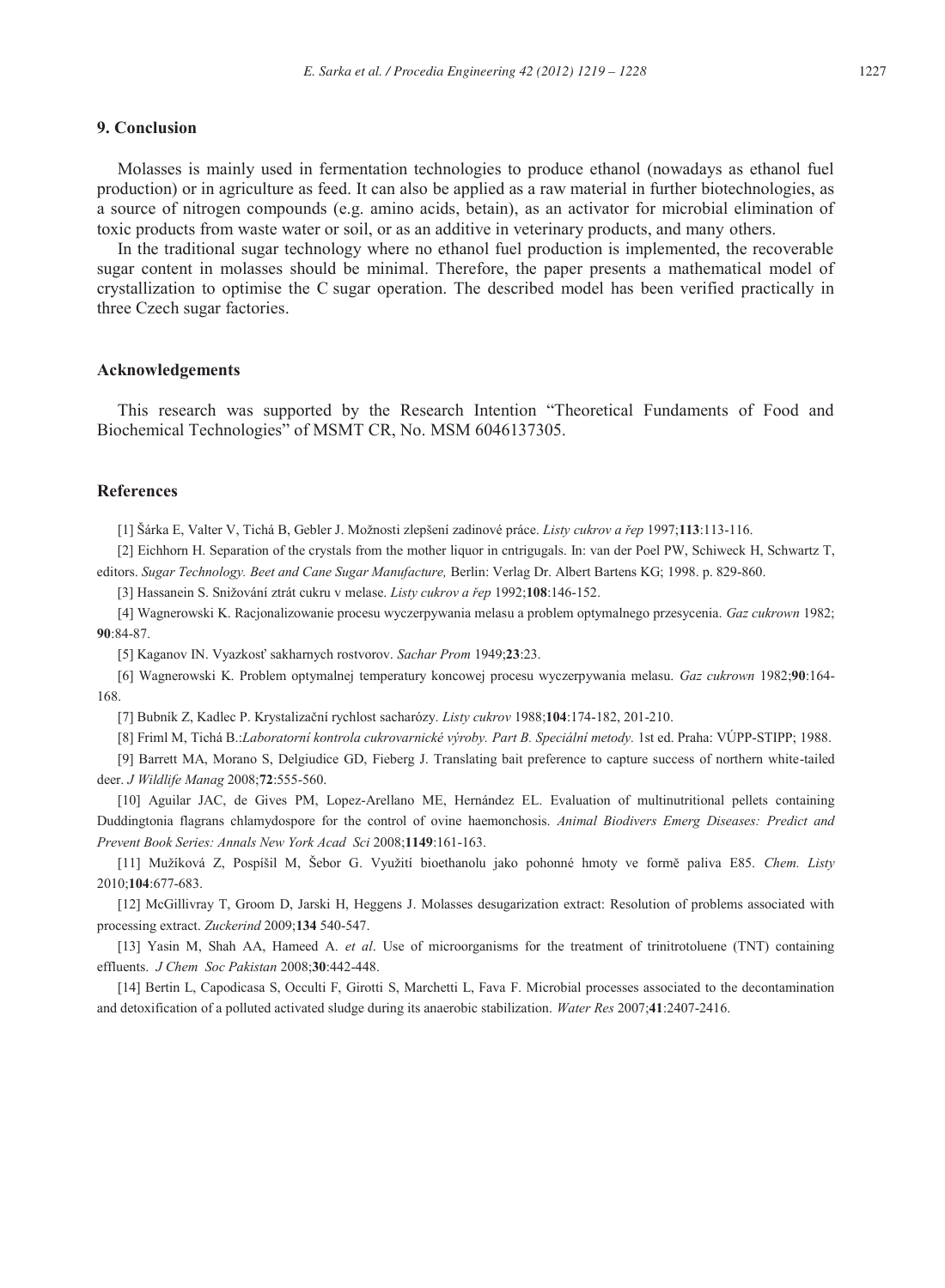#### **9. Conclusion**

Molasses is mainly used in fermentation technologies to produce ethanol (nowadays as ethanol fuel production) or in agriculture as feed. It can also be applied as a raw material in further biotechnologies, as a source of nitrogen compounds (e.g. amino acids, betain), as an activator for microbial elimination of toxic products from waste water or soil, or as an additive in veterinary products, and many others.

In the traditional sugar technology where no ethanol fuel production is implemented, the recoverable sugar content in molasses should be minimal. Therefore, the paper presents a mathematical model of crystallization to optimise the C sugar operation. The described model has been verified practically in three Czech sugar factories.

## **Acknowledgements**

This research was supported by the Research Intention "Theoretical Fundaments of Food and Biochemical Technologies" of MSMT CR, No. MSM 6046137305.

# **References**

[1] Šárka E, Valter V, Tichá B, Gebler J. Možnosti zlepšení zadinové práce. *Listy cukrov a řep* 1997;**113**:113-116.

[2] Eichhorn H. Separation of the crystals from the mother liquor in cntrigugals. In: van der Poel PW, Schiweck H, Schwartz T, editors. *Sugar Technology. Beet and Cane Sugar Manufacture,* Berlin: Verlag Dr. Albert Bartens KG; 1998. p. 829-860.

[3] Hassanein S. Snižování ztrát cukru v melase. *Listy cukrov a řep* 1992;**108**:146-152.

[4] Wagnerowski K. Racjonalizowanie procesu wyczerpywania melasu a problem optymalnego przesycenia. *Gaz cukrown* 1982; **90**:84-87.

[5] Kaganov IN. Vyazkosť sakharnych rostvorov. *Sachar Prom* 1949;**23**:23.

[6] Wagnerowski K. Problem optymalnej temperatury koncowej procesu wyczerpywania melasu. *Gaz cukrown* 1982;**90**:164- 168.

[7] Bubník Z, Kadlec P. Krystalizační rychlost sacharózy. *Listy cukrov* 1988;**104**:174-182, 201-210.

[8] Friml M, Tichá B.:*Laboratorní kontrola cukrovarnické výroby. Part B. Speciální metody.* 1st ed. Praha: VÚPP-STIPP; 1988.

[9] Barrett MA, Morano S, Delgiudice GD, Fieberg J. Translating bait preference to capture success of northern white-tailed deer. *J Wildlife Manag* 2008;**72**:555-560.

[10] Aguilar JAC, de Gives PM, Lopez-Arellano ME, Hernández EL. Evaluation of multinutritional pellets containing Duddingtonia flagrans chlamydospore for the control of ovine haemonchosis. *Animal Biodivers Emerg Diseases: Predict and Prevent Book Series: Annals New York Acad Sci* 2008;**1149**:161-163.

[11] Mužíková Z, Pospíšil M, Šebor G. Využití bioethanolu jako pohonné hmoty ve formě paliva E85. *Chem. Listy*  2010;**104**:677-683.

[12] McGillivray T, Groom D, Jarski H, Heggens J. Molasses desugarization extract: Resolution of problems associated with processing extract. *Zuckerind* 2009;**134** 540-547.

[13] Yasin M, Shah AA, Hameed A. *et al*. Use of microorganisms for the treatment of trinitrotoluene (TNT) containing effluents. *J Chem Soc Pakistan* 2008;**30**:442-448.

[14] Bertin L, Capodicasa S, Occulti F, Girotti S, Marchetti L, Fava F. Microbial processes associated to the decontamination and detoxification of a polluted activated sludge during its anaerobic stabilization. *Water Res* 2007;**41**:2407-2416.